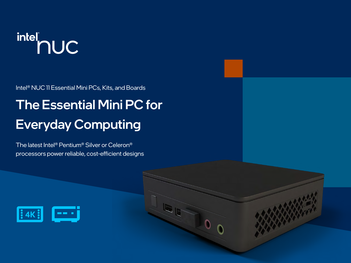# intel<br>
nuc

Intel® NUC 11 Essential Mini PCs, Kits, and Boards

### The Essential Mini PC for Everyday Computing

The latest Intel® Pentium® Silver or Celeron® processors power reliable, cost-efficient designs